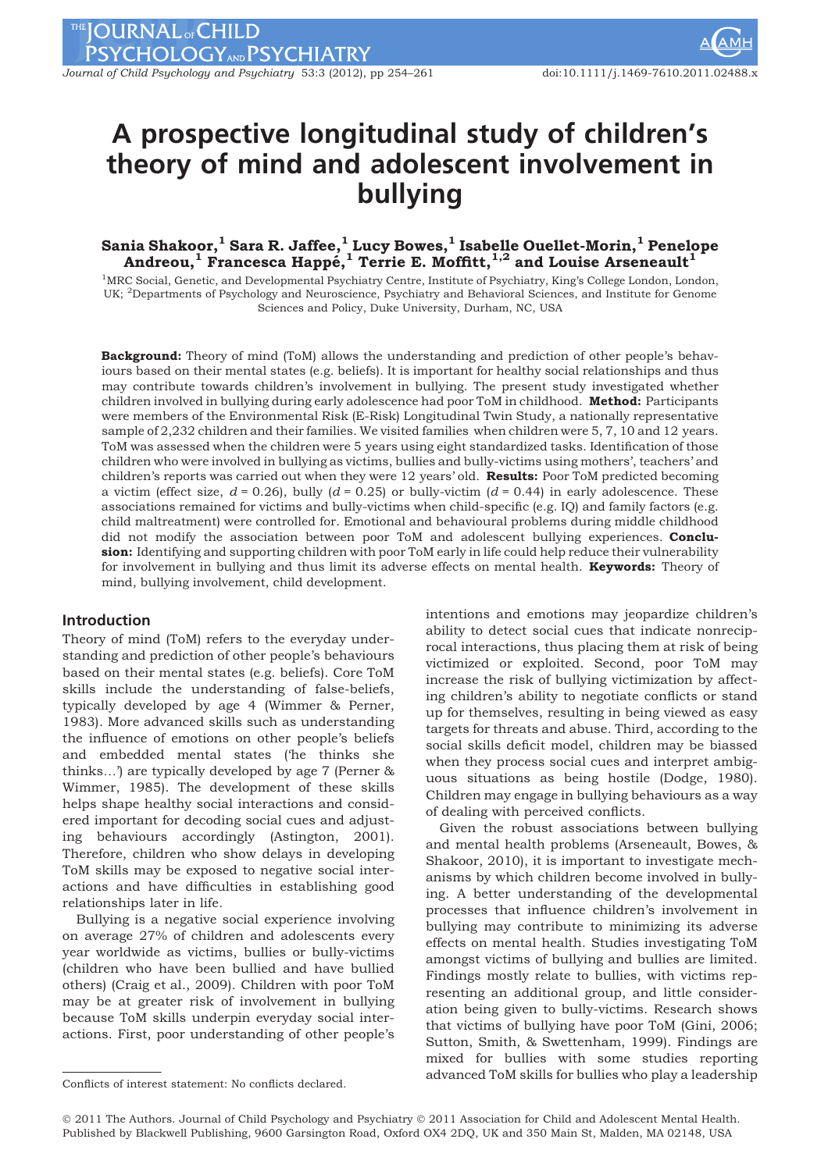Journal of Child Psychology and Psychiatry 53:3 (2012), pp 254-261 doi:10.1111/j.1469-7610.2011.02488.x

# A prospective longitudinal study of children's theory of mind and adolescent involvement in bullying

## Sania Shakoor, $^1$  Sara R. Jaffee, $^1$  Lucy Bowes, $^1$  Isabelle Ouellet-Morin, $^1$  Penelope Andreou, $^{\rm 1}$  Francesca Happé, $^{\rm 1}$  Terrie E. Moffitt, $^{\rm 1,2}$  and Louise Arseneault $^{\rm 1}$

<sup>1</sup>MRC Social, Genetic, and Developmental Psychiatry Centre, Institute of Psychiatry, King's College London, London, UK; <sup>2</sup>Departments of Psychology and Neuroscience, Psychiatry and Behavioral Sciences, and Institute for Genome Sciences and Policy, Duke University, Durham, NC, USA

Background: Theory of mind (ToM) allows the understanding and prediction of other people's behaviours based on their mental states (e.g. beliefs). It is important for healthy social relationships and thus may contribute towards children's involvement in bullying. The present study investigated whether children involved in bullying during early adolescence had poor ToM in childhood. Method: Participants were members of the Environmental Risk (E-Risk) Longitudinal Twin Study, a nationally representative sample of 2,232 children and their families. We visited families when children were 5, 7, 10 and 12 years. ToM was assessed when the children were 5 years using eight standardized tasks. Identification of those children who were involved in bullying as victims, bullies and bully-victims using mothers', teachers' and children's reports was carried out when they were 12 years' old. Results: Poor ToM predicted becoming a victim (effect size,  $d = 0.26$ ), bully ( $d = 0.25$ ) or bully-victim ( $d = 0.44$ ) in early adolescence. These associations remained for victims and bully-victims when child-specific (e.g. IQ) and family factors (e.g. child maltreatment) were controlled for. Emotional and behavioural problems during middle childhood did not modify the association between poor ToM and adolescent bullying experiences. Conclusion: Identifying and supporting children with poor ToM early in life could help reduce their vulnerability for involvement in bullying and thus limit its adverse effects on mental health. **Keywords:** Theory of mind, bullying involvement, child development.

## Introduction

Theory of mind (ToM) refers to the everyday understanding and prediction of other people's behaviours based on their mental states (e.g. beliefs). Core ToM skills include the understanding of false-beliefs, typically developed by age 4 (Wimmer & Perner, 1983). More advanced skills such as understanding the influence of emotions on other people's beliefs and embedded mental states ('he thinks she thinks…') are typically developed by age 7 (Perner & Wimmer, 1985). The development of these skills helps shape healthy social interactions and considered important for decoding social cues and adjusting behaviours accordingly (Astington, 2001). Therefore, children who show delays in developing ToM skills may be exposed to negative social interactions and have difficulties in establishing good relationships later in life.

Bullying is a negative social experience involving on average 27% of children and adolescents every year worldwide as victims, bullies or bully-victims (children who have been bullied and have bullied others) (Craig et al., 2009). Children with poor ToM may be at greater risk of involvement in bullying because ToM skills underpin everyday social interactions. First, poor understanding of other people's

intentions and emotions may jeopardize children's ability to detect social cues that indicate nonreciprocal interactions, thus placing them at risk of being victimized or exploited. Second, poor ToM may increase the risk of bullying victimization by affecting children's ability to negotiate conflicts or stand up for themselves, resulting in being viewed as easy targets for threats and abuse. Third, according to the social skills deficit model, children may be biassed when they process social cues and interpret ambiguous situations as being hostile (Dodge, 1980). Children may engage in bullying behaviours as a way of dealing with perceived conflicts.

Given the robust associations between bullying and mental health problems (Arseneault, Bowes, & Shakoor, 2010), it is important to investigate mechanisms by which children become involved in bullying. A better understanding of the developmental processes that influence children's involvement in bullying may contribute to minimizing its adverse effects on mental health. Studies investigating ToM amongst victims of bullying and bullies are limited. Findings mostly relate to bullies, with victims representing an additional group, and little consideration being given to bully-victims. Research shows that victims of bullying have poor ToM (Gini, 2006; Sutton, Smith, & Swettenham, 1999). Findings are mixed for bullies with some studies reporting advanced ToM skills for bullies who play a leadership Conflicts of interest statement: No conflicts declared.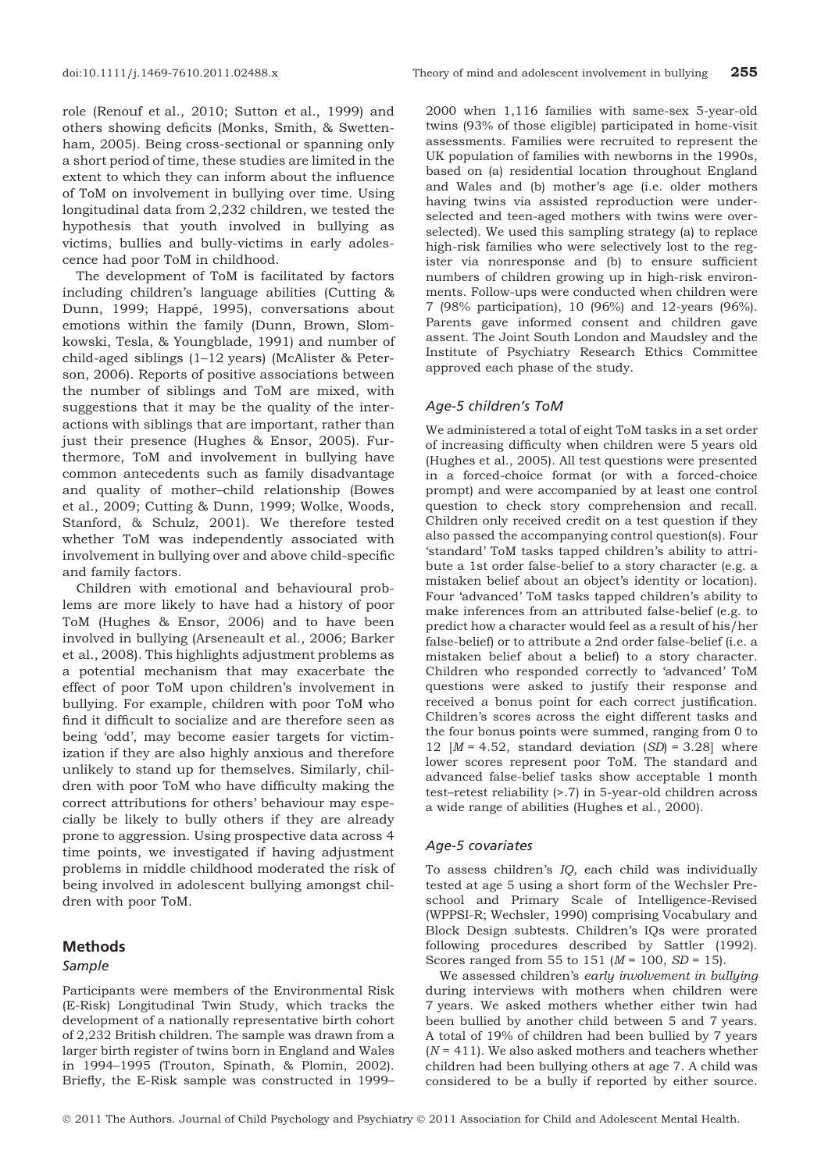role (Renouf et al., 2010; Sutton et al., 1999) and others showing deficits (Monks, Smith, & Swettenham, 2005). Being cross-sectional or spanning only a short period of time, these studies are limited in the extent to which they can inform about the influence of ToM on involvement in bullying over time. Using longitudinal data from 2,232 children, we tested the hypothesis that youth involved in bullying as victims, bullies and bully-victims in early adolescence had poor ToM in childhood.

The development of ToM is facilitated by factors including children's language abilities (Cutting & Dunn, 1999; Happé, 1995), conversations about emotions within the family (Dunn, Brown, Slomkowski, Tesla, & Youngblade, 1991) and number of child-aged siblings (1–12 years) (McAlister & Peterson, 2006). Reports of positive associations between the number of siblings and ToM are mixed, with suggestions that it may be the quality of the interactions with siblings that are important, rather than just their presence (Hughes & Ensor, 2005). Furthermore, ToM and involvement in bullying have common antecedents such as family disadvantage and quality of mother–child relationship (Bowes et al., 2009; Cutting & Dunn, 1999; Wolke, Woods, Stanford, & Schulz, 2001). We therefore tested whether ToM was independently associated with involvement in bullying over and above child-specific and family factors.

Children with emotional and behavioural problems are more likely to have had a history of poor ToM (Hughes & Ensor, 2006) and to have been involved in bullying (Arseneault et al., 2006; Barker et al., 2008). This highlights adjustment problems as a potential mechanism that may exacerbate the effect of poor ToM upon children's involvement in bullying. For example, children with poor ToM who find it difficult to socialize and are therefore seen as being 'odd', may become easier targets for victimization if they are also highly anxious and therefore unlikely to stand up for themselves. Similarly, children with poor ToM who have difficulty making the correct attributions for others' behaviour may especially be likely to bully others if they are already prone to aggression. Using prospective data across 4 time points, we investigated if having adjustment problems in middle childhood moderated the risk of being involved in adolescent bullying amongst children with poor ToM.

## Methods

#### Sample

Participants were members of the Environmental Risk (E-Risk) Longitudinal Twin Study, which tracks the development of a nationally representative birth cohort of 2,232 British children. The sample was drawn from a larger birth register of twins born in England and Wales in 1994–1995 (Trouton, Spinath, & Plomin, 2002). Briefly, the E-Risk sample was constructed in 1999–

2000 when 1,116 families with same-sex 5-year-old twins (93% of those eligible) participated in home-visit assessments. Families were recruited to represent the UK population of families with newborns in the 1990s, based on (a) residential location throughout England and Wales and (b) mother's age (i.e. older mothers having twins via assisted reproduction were underselected and teen-aged mothers with twins were overselected). We used this sampling strategy (a) to replace high-risk families who were selectively lost to the register via nonresponse and (b) to ensure sufficient numbers of children growing up in high-risk environments. Follow-ups were conducted when children were 7 (98% participation), 10 (96%) and 12-years (96%). Parents gave informed consent and children gave assent. The Joint South London and Maudsley and the Institute of Psychiatry Research Ethics Committee approved each phase of the study.

#### Age-5 children's ToM

We administered a total of eight ToM tasks in a set order of increasing difficulty when children were 5 years old (Hughes et al., 2005). All test questions were presented in a forced-choice format (or with a forced-choice prompt) and were accompanied by at least one control question to check story comprehension and recall. Children only received credit on a test question if they also passed the accompanying control question(s). Four 'standard' ToM tasks tapped children's ability to attribute a 1st order false-belief to a story character (e.g. a mistaken belief about an object's identity or location). Four 'advanced' ToM tasks tapped children's ability to make inferences from an attributed false-belief (e.g. to predict how a character would feel as a result of his/her false-belief) or to attribute a 2nd order false-belief (i.e. a mistaken belief about a belief) to a story character. Children who responded correctly to 'advanced' ToM questions were asked to justify their response and received a bonus point for each correct justification. Children's scores across the eight different tasks and the four bonus points were summed, ranging from 0 to 12  $[M = 4.52, standard deviation (SD) = 3.28] where$ lower scores represent poor ToM. The standard and advanced false-belief tasks show acceptable 1 month test–retest reliability (>.7) in 5-year-old children across a wide range of abilities (Hughes et al., 2000).

#### Age-5 covariates

To assess children's IQ, each child was individually tested at age 5 using a short form of the Wechsler Preschool and Primary Scale of Intelligence-Revised (WPPSI-R; Wechsler, 1990) comprising Vocabulary and Block Design subtests. Children's IQs were prorated following procedures described by Sattler (1992). Scores ranged from 55 to 151  $(M = 100, SD = 15)$ .

We assessed children's early involvement in bullying during interviews with mothers when children were 7 years. We asked mothers whether either twin had been bullied by another child between 5 and 7 years. A total of 19% of children had been bullied by 7 years  $(N = 411)$ . We also asked mothers and teachers whether children had been bullying others at age 7. A child was considered to be a bully if reported by either source.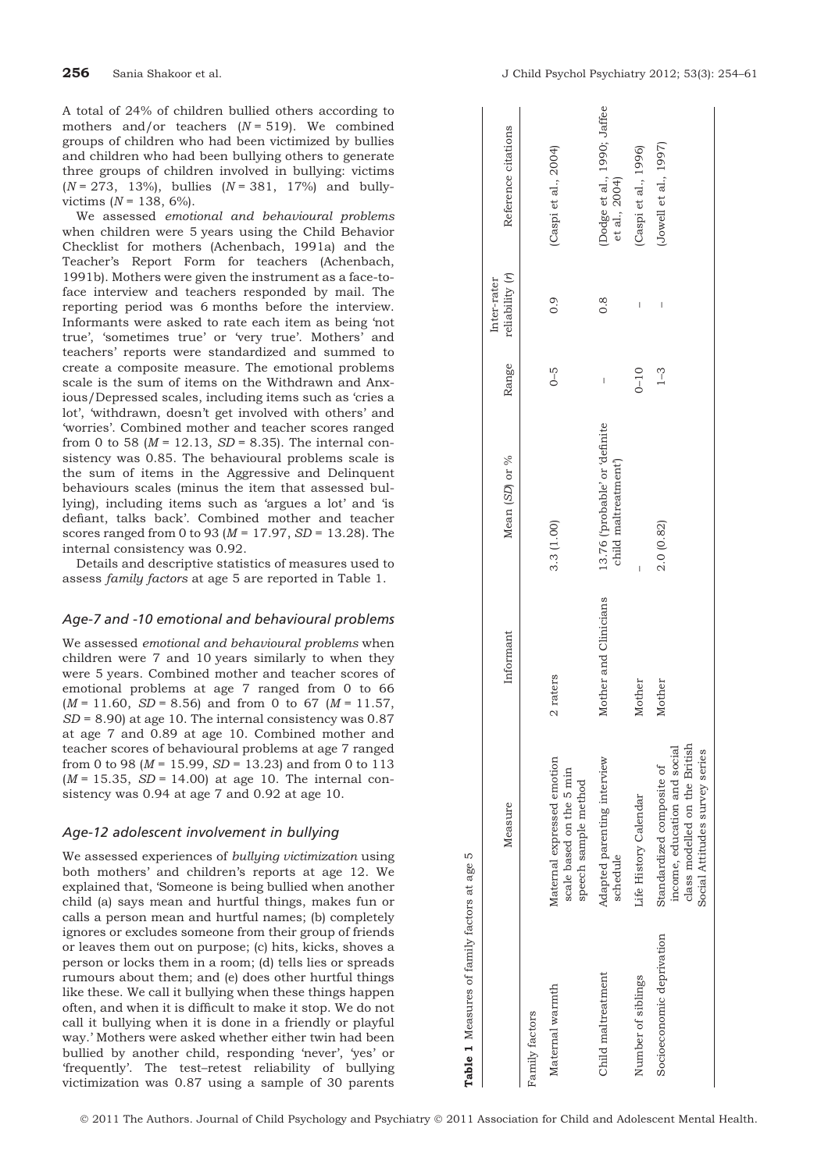A total of 24% of children bullied others according to mothers and/or teachers  $(N = 519)$ . We combined groups of children who had been victimized by bullies and children who had been bullying others to generate three groups of children involved in bullying: victims  $(N = 273, 13\%)$ , bullies  $(N = 381, 17\%)$  and bullyvictims  $(N = 138, 6\%)$ .

We assessed emotional and behavioural problems when children were 5 years using the Child Behavior Checklist for mothers (Achenbach, 1991a) and the Teacher's Report Form for teachers (Achenbach, 1991b). Mothers were given the instrument as a face-toface interview and teachers responded by mail. The reporting period was 6 months before the interview. Informants were asked to rate each item as being 'not true', 'sometimes true' or 'very true'. Mothers' and teachers' reports were standardized and summed to create a composite measure. The emotional problems scale is the sum of items on the Withdrawn and Anxious/Depressed scales, including items such as 'cries a lot', 'withdrawn, doesn't get involved with others' and 'worries'. Combined mother and teacher scores ranged from 0 to 58 ( $M = 12.13$ ,  $SD = 8.35$ ). The internal consistency was 0.85. The behavioural problems scale is the sum of items in the Aggressive and Delinquent behaviours scales (minus the item that assessed bullying), including items such as 'argues a lot' and 'is defiant, talks back'. Combined mother and teacher scores ranged from 0 to 93 ( $M = 17.97$ ,  $SD = 13.28$ ). The internal consistency was 0.92.

Details and descriptive statistics of measures used to assess family factors at age 5 are reported in Table 1.

## Age-7 and -10 emotional and behavioural problems

We assessed emotional and behavioural problems when children were 7 and 10 years similarly to when they were 5 years. Combined mother and teacher scores of emotional problems at age 7 ranged from 0 to 66  $(M = 11.60, SD = 8.56)$  and from 0 to 67  $(M = 11.57,$  $SD = 8.90$ ) at age 10. The internal consistency was 0.87 at age 7 and 0.89 at age 10. Combined mother and teacher scores of behavioural problems at age 7 ranged from 0 to 98 ( $M = 15.99$ ,  $SD = 13.23$ ) and from 0 to 113  $(M = 15.35, SD = 14.00)$  at age 10. The internal consistency was 0.94 at age 7 and 0.92 at age 10.

### Age-12 adolescent involvement in bullying

We assessed experiences of bullying victimization using both mothers' and children's reports at age 12. We explained that, 'Someone is being bullied when another child (a) says mean and hurtful things, makes fun or calls a person mean and hurtful names; (b) completely ignores or excludes someone from their group of friends or leaves them out on purpose; (c) hits, kicks, shoves a person or locks them in a room; (d) tells lies or spreads rumours about them; and (e) does other hurtful things like these. We call it bullying when these things happen often, and when it is difficult to make it stop. We do not call it bullying when it is done in a friendly or playful way.' Mothers were asked whether either twin had been bullied by another child, responding 'never', 'yes' or 'frequently'. The test–retest reliability of bullying victimization was 0.87 using a sample of 30 parents

|                           | Measure                                                                                                                      | Informant             | Mean (SD) or %                                                    | Range    | reliability (r)<br>Inter-rater | Reference citations                          |
|---------------------------|------------------------------------------------------------------------------------------------------------------------------|-----------------------|-------------------------------------------------------------------|----------|--------------------------------|----------------------------------------------|
| Family factors            |                                                                                                                              |                       |                                                                   |          |                                |                                              |
| Maternal warmth           | Maternal expressed emotion<br>scale based on the 5 min<br>speech sample method                                               | 2 raters              | 3.3(1.00)                                                         | $0 - 5$  | 0.9                            | (Caspi et al., 2004)                         |
| Child maltreatment        | Adapted parenting interview<br>schedule                                                                                      | Mother and Clinicians | 13.76 ('probable' or 'definite<br>child maltreatment <sup>1</sup> | I        | $\frac{8}{2}$                  | (Dodge et al., 1990; Jaffee<br>et al., 2004) |
| Number of siblings        | Life History Calendar                                                                                                        | Mother                | I                                                                 | $0 - 10$ | I                              | (Caspi et al., 1996)                         |
| Socioeconomic deprivation | class modelled on the British<br>income, education and social<br>Social Attitudes survey series<br>Standardized composite of | Mother                | 2.0(0.82)                                                         | $1 - 3$  | I                              | (Jowell et al., 1997)                        |
|                           |                                                                                                                              |                       |                                                                   |          |                                |                                              |

Table 1 Measures of family factors at age 5

Table 1 Measures of family factors at age

LO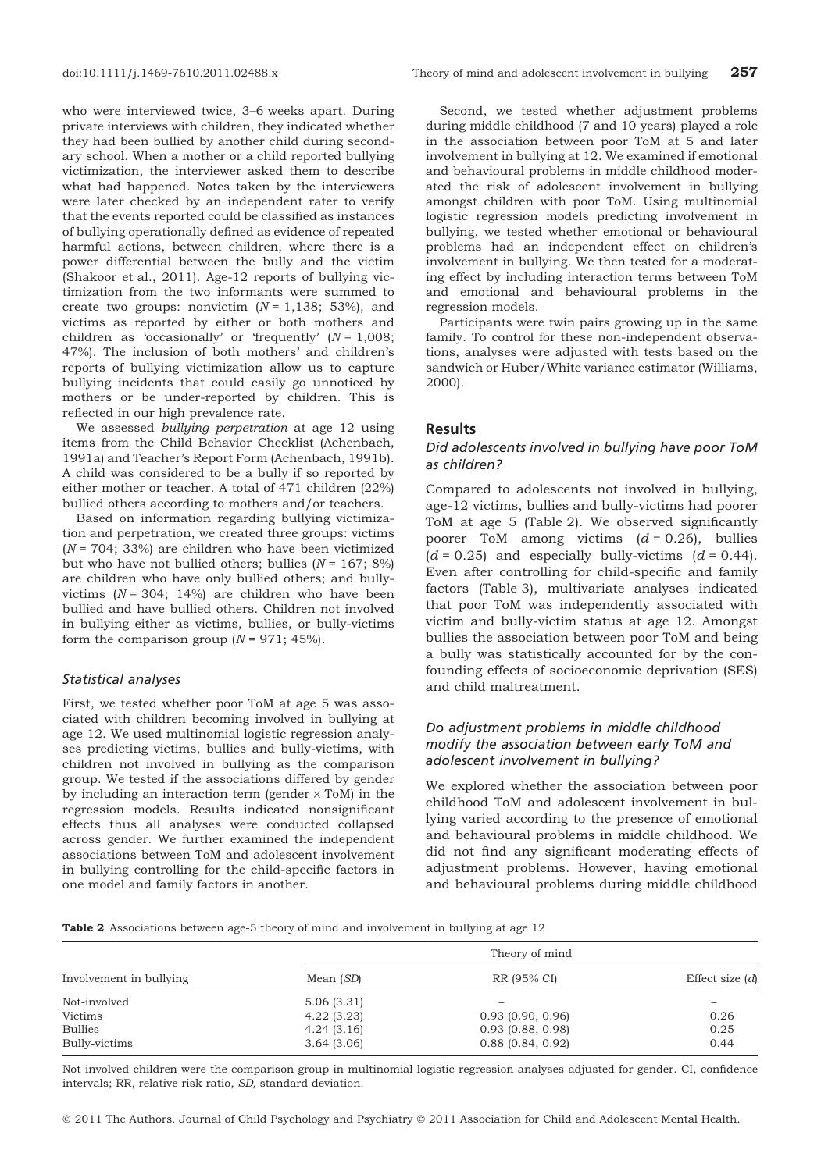who were interviewed twice, 3–6 weeks apart. During private interviews with children, they indicated whether they had been bullied by another child during secondary school. When a mother or a child reported bullying victimization, the interviewer asked them to describe what had happened. Notes taken by the interviewers were later checked by an independent rater to verify that the events reported could be classified as instances of bullying operationally defined as evidence of repeated harmful actions, between children, where there is a power differential between the bully and the victim (Shakoor et al., 2011). Age-12 reports of bullying victimization from the two informants were summed to create two groups: nonvictim  $(N = 1,138; 53\%)$ , and victims as reported by either or both mothers and children as 'occasionally' or 'frequently'  $(N = 1,008;$ 47%). The inclusion of both mothers' and children's reports of bullying victimization allow us to capture bullying incidents that could easily go unnoticed by mothers or be under-reported by children. This is reflected in our high prevalence rate.

We assessed bullying perpetration at age 12 using items from the Child Behavior Checklist (Achenbach, 1991a) and Teacher's Report Form (Achenbach, 1991b). A child was considered to be a bully if so reported by either mother or teacher. A total of 471 children (22%) bullied others according to mothers and/or teachers.

Based on information regarding bullying victimization and perpetration, we created three groups: victims  $(N = 704; 33%)$  are children who have been victimized but who have not bullied others; bullies  $(N = 167; 8\%)$ are children who have only bullied others; and bullyvictims  $(N = 304; 14%)$  are children who have been bullied and have bullied others. Children not involved in bullying either as victims, bullies, or bully-victims form the comparison group  $(N = 971; 45\%).$ 

## Statistical analyses

First, we tested whether poor ToM at age 5 was associated with children becoming involved in bullying at age 12. We used multinomial logistic regression analyses predicting victims, bullies and bully-victims, with children not involved in bullying as the comparison group. We tested if the associations differed by gender by including an interaction term (gender  $\times$  ToM) in the regression models. Results indicated nonsignificant effects thus all analyses were conducted collapsed across gender. We further examined the independent associations between ToM and adolescent involvement in bullying controlling for the child-specific factors in one model and family factors in another.

Second, we tested whether adjustment problems during middle childhood (7 and 10 years) played a role in the association between poor ToM at 5 and later involvement in bullying at 12. We examined if emotional and behavioural problems in middle childhood moderated the risk of adolescent involvement in bullying amongst children with poor ToM. Using multinomial logistic regression models predicting involvement in bullying, we tested whether emotional or behavioural problems had an independent effect on children's involvement in bullying. We then tested for a moderating effect by including interaction terms between ToM and emotional and behavioural problems in the regression models.

Participants were twin pairs growing up in the same family. To control for these non-independent observations, analyses were adjusted with tests based on the sandwich or Huber/White variance estimator (Williams, 2000).

### Results

## Did adolescents involved in bullying have poor ToM as children?

Compared to adolescents not involved in bullying, age-12 victims, bullies and bully-victims had poorer ToM at age 5 (Table 2). We observed significantly poorer ToM among victims  $(d = 0.26)$ , bullies  $(d = 0.25)$  and especially bully-victims  $(d = 0.44)$ . Even after controlling for child-specific and family factors (Table 3), multivariate analyses indicated that poor ToM was independently associated with victim and bully-victim status at age 12. Amongst bullies the association between poor ToM and being a bully was statistically accounted for by the confounding effects of socioeconomic deprivation (SES) and child maltreatment.

## Do adjustment problems in middle childhood modify the association between early ToM and adolescent involvement in bullying?

We explored whether the association between poor childhood ToM and adolescent involvement in bullying varied according to the presence of emotional and behavioural problems in middle childhood. We did not find any significant moderating effects of adjustment problems. However, having emotional and behavioural problems during middle childhood

Table 2 Associations between age-5 theory of mind and involvement in bullying at age 12

| Involvement in bullying | Theory of mind |                          |                   |  |
|-------------------------|----------------|--------------------------|-------------------|--|
|                         | Mean (SD)      | RR (95% CI)              | Effect size $(d)$ |  |
| Not-involved            | 5.06(3.31)     | $\overline{\phantom{0}}$ |                   |  |
| Victims                 | 4.22(3.23)     | 0.93(0.90, 0.96)         | 0.26              |  |
| <b>Bullies</b>          | 4.24(3.16)     | $0.93$ (0.88, 0.98)      | 0.25              |  |
| Bully-victims           | 3.64(3.06)     | $0.88$ (0.84, 0.92)      | 0.44              |  |

Not-involved children were the comparison group in multinomial logistic regression analyses adjusted for gender. CI, confidence intervals; RR, relative risk ratio, SD, standard deviation.

© 2011 The Authors. Journal of Child Psychology and Psychiatry © 2011 Association for Child and Adolescent Mental Health.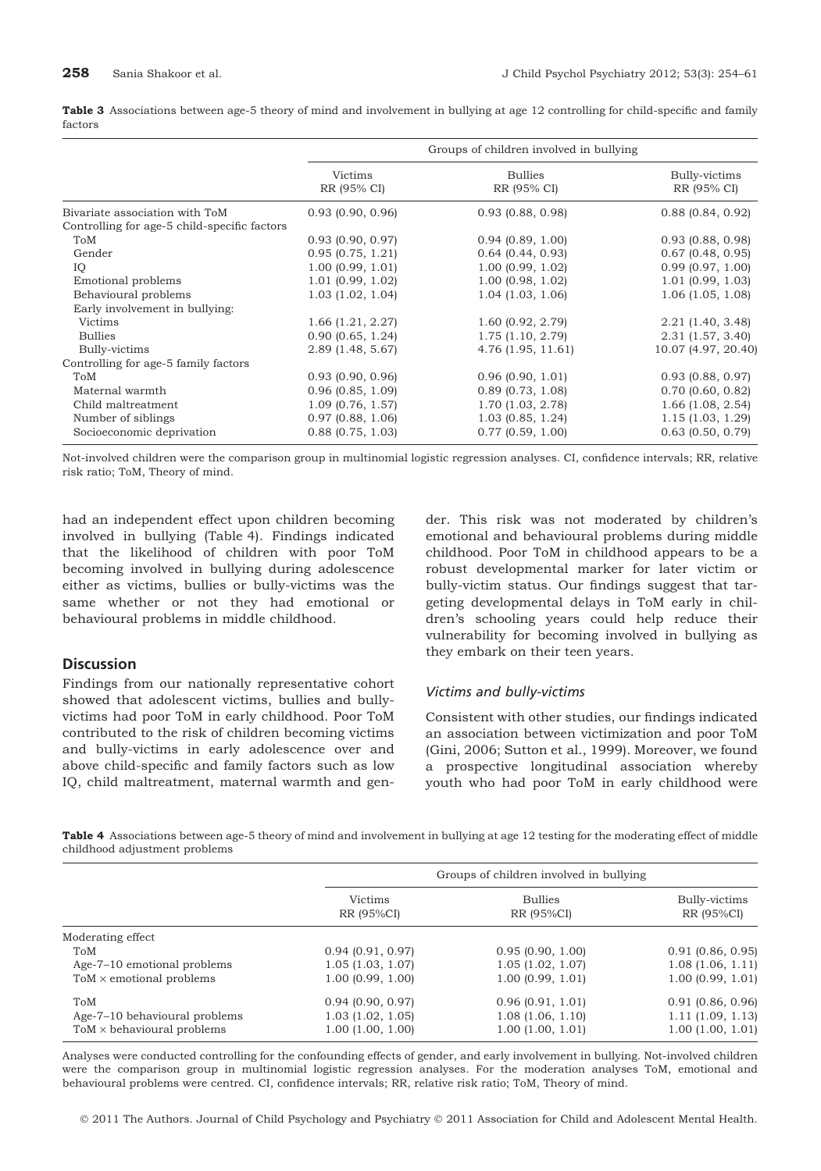Table 3 Associations between age-5 theory of mind and involvement in bullying at age 12 controlling for child-specific and family factors

|                                              | Groups of children involved in bullying |                               |                              |
|----------------------------------------------|-----------------------------------------|-------------------------------|------------------------------|
|                                              | Victims<br>RR (95% CI)                  | <b>Bullies</b><br>RR (95% CI) | Bully-victims<br>RR (95% CI) |
| Bivariate association with ToM               | $0.93$ (0.90, 0.96)                     | $0.93$ (0.88, 0.98)           | $0.88$ (0.84, 0.92)          |
| Controlling for age-5 child-specific factors |                                         |                               |                              |
| ToM                                          | $0.93$ (0.90, 0.97)                     | 0.94(0.89, 1.00)              | $0.93$ (0.88, 0.98)          |
| Gender                                       | 0.95(0.75, 1.21)                        | $0.64$ (0.44, 0.93)           | $0.67$ (0.48, 0.95)          |
| IQ                                           | 1.00(0.99, 1.01)                        | 1.00(0.99, 1.02)              | 0.99(0.97, 1.00)             |
| Emotional problems                           | 1.01(0.99, 1.02)                        | 1.00(0.98, 1.02)              | 1.01(0.99, 1.03)             |
| Behavioural problems                         | 1.03(1.02, 1.04)                        | $1.04$ (1.03, 1.06)           | 1.06(1.05, 1.08)             |
| Early involvement in bullying:               |                                         |                               |                              |
| <b>Victims</b>                               | 1.66(1.21, 2.27)                        | 1.60(0.92, 2.79)              | 2.21(1.40, 3.48)             |
| <b>Bullies</b>                               | 0.90(0.65, 1.24)                        | 1.75(1.10, 2.79)              | $2.31$ (1.57, 3.40)          |
| Bully-victims                                | 2.89(1.48, 5.67)                        | 4.76(1.95, 11.61)             | 10.07 (4.97, 20.40)          |
| Controlling for age-5 family factors         |                                         |                               |                              |
| ToM                                          | $0.93$ (0.90, 0.96)                     | 0.96(0.90, 1.01)              | $0.93$ (0.88, 0.97)          |
| Maternal warmth                              | 0.96(0.85, 1.09)                        | $0.89$ (0.73, 1.08)           | $0.70$ (0.60, 0.82)          |
| Child maltreatment                           | 1.09(0.76, 1.57)                        | 1.70 (1.03, 2.78)             | $1.66$ (1.08, 2.54)          |
| Number of siblings                           | 0.97(0.88, 1.06)                        | $1.03$ (0.85, 1.24)           | 1.15(1.03, 1.29)             |
| Socioeconomic deprivation                    | $0.88$ (0.75, 1.03)                     | $0.77$ (0.59, 1.00)           | $0.63$ (0.50, 0.79)          |

Not-involved children were the comparison group in multinomial logistic regression analyses. CI, confidence intervals; RR, relative risk ratio; ToM, Theory of mind.

had an independent effect upon children becoming involved in bullying (Table 4). Findings indicated that the likelihood of children with poor ToM becoming involved in bullying during adolescence either as victims, bullies or bully-victims was the same whether or not they had emotional or behavioural problems in middle childhood.

## **Discussion**

Findings from our nationally representative cohort showed that adolescent victims, bullies and bullyvictims had poor ToM in early childhood. Poor ToM contributed to the risk of children becoming victims and bully-victims in early adolescence over and above child-specific and family factors such as low IQ, child maltreatment, maternal warmth and gender. This risk was not moderated by children's emotional and behavioural problems during middle childhood. Poor ToM in childhood appears to be a robust developmental marker for later victim or bully-victim status. Our findings suggest that targeting developmental delays in ToM early in children's schooling years could help reduce their vulnerability for becoming involved in bullying as they embark on their teen years.

### Victims and bully-victims

Consistent with other studies, our findings indicated an association between victimization and poor ToM (Gini, 2006; Sutton et al., 1999). Moreover, we found a prospective longitudinal association whereby youth who had poor ToM in early childhood were

Table 4 Associations between age-5 theory of mind and involvement in bullying at age 12 testing for the moderating effect of middle childhood adjustment problems

|                                   | Groups of children involved in bullying |                              |                             |
|-----------------------------------|-----------------------------------------|------------------------------|-----------------------------|
|                                   | <b>Victims</b><br>RR (95%CI)            | <b>Bullies</b><br>RR (95%CI) | Bully-victims<br>RR (95%CI) |
| Moderating effect                 |                                         |                              |                             |
| ToM                               | 0.94(0.91, 0.97)                        | 0.95(0.90, 1.00)             | $0.91$ (0.86, 0.95)         |
| Age-7–10 emotional problems       | 1.05(1.03, 1.07)                        | 1.05(1.02, 1.07)             | 1.08(1.06, 1.11)            |
| $ToM \times$ emotional problems   | 1.00(0.99, 1.00)                        | 1.00(0.99, 1.01)             | 1.00(0.99, 1.01)            |
| ToM                               | $0.94$ (0.90, 0.97)                     | 0.96(0.91, 1.01)             | $0.91$ (0.86, 0.96)         |
| Age-7-10 behavioural problems     | $1.03$ $(1.02, 1.05)$                   | 1.08(1.06, 1.10)             | 1.11(1.09, 1.13)            |
| $ToM \times$ behavioural problems | 1.00(1.00, 1.00)                        | 1.00(1.00, 1.01)             | 1.00(1.00, 1.01)            |

Analyses were conducted controlling for the confounding effects of gender, and early involvement in bullying. Not-involved children were the comparison group in multinomial logistic regression analyses. For the moderation analyses ToM, emotional and behavioural problems were centred. CI, confidence intervals; RR, relative risk ratio; ToM, Theory of mind.

© 2011 The Authors. Journal of Child Psychology and Psychiatry © 2011 Association for Child and Adolescent Mental Health.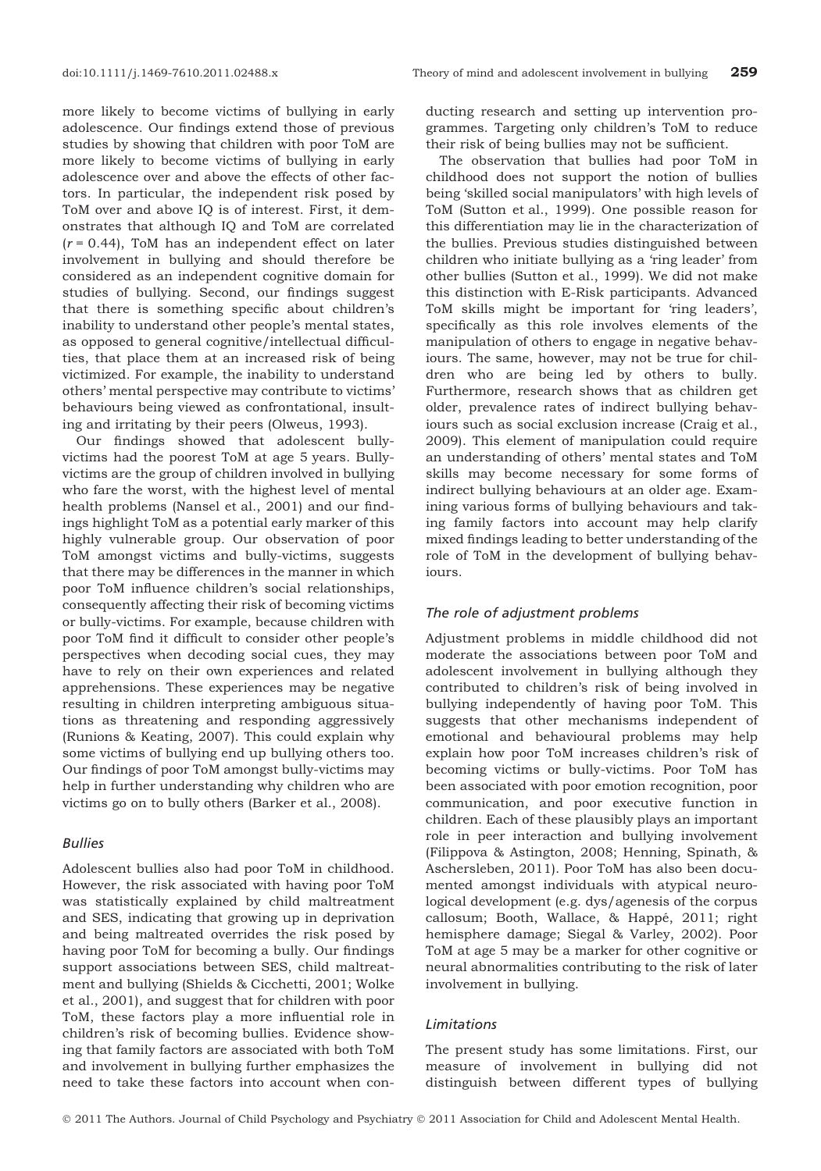more likely to become victims of bullying in early adolescence. Our findings extend those of previous studies by showing that children with poor ToM are more likely to become victims of bullying in early adolescence over and above the effects of other factors. In particular, the independent risk posed by ToM over and above IQ is of interest. First, it demonstrates that although IQ and ToM are correlated  $(r = 0.44)$ , ToM has an independent effect on later involvement in bullying and should therefore be considered as an independent cognitive domain for studies of bullying. Second, our findings suggest that there is something specific about children's inability to understand other people's mental states, as opposed to general cognitive/intellectual difficulties, that place them at an increased risk of being victimized. For example, the inability to understand others' mental perspective may contribute to victims' behaviours being viewed as confrontational, insulting and irritating by their peers (Olweus, 1993).

Our findings showed that adolescent bullyvictims had the poorest ToM at age 5 years. Bullyvictims are the group of children involved in bullying who fare the worst, with the highest level of mental health problems (Nansel et al., 2001) and our findings highlight ToM as a potential early marker of this highly vulnerable group. Our observation of poor ToM amongst victims and bully-victims, suggests that there may be differences in the manner in which poor ToM influence children's social relationships, consequently affecting their risk of becoming victims or bully-victims. For example, because children with poor ToM find it difficult to consider other people's perspectives when decoding social cues, they may have to rely on their own experiences and related apprehensions. These experiences may be negative resulting in children interpreting ambiguous situations as threatening and responding aggressively (Runions & Keating, 2007). This could explain why some victims of bullying end up bullying others too. Our findings of poor ToM amongst bully-victims may help in further understanding why children who are victims go on to bully others (Barker et al., 2008).

## Bullies

Adolescent bullies also had poor ToM in childhood. However, the risk associated with having poor ToM was statistically explained by child maltreatment and SES, indicating that growing up in deprivation and being maltreated overrides the risk posed by having poor ToM for becoming a bully. Our findings support associations between SES, child maltreatment and bullying (Shields & Cicchetti, 2001; Wolke et al., 2001), and suggest that for children with poor ToM, these factors play a more influential role in children's risk of becoming bullies. Evidence showing that family factors are associated with both ToM and involvement in bullying further emphasizes the need to take these factors into account when conducting research and setting up intervention programmes. Targeting only children's ToM to reduce their risk of being bullies may not be sufficient.

The observation that bullies had poor ToM in childhood does not support the notion of bullies being 'skilled social manipulators' with high levels of ToM (Sutton et al., 1999). One possible reason for this differentiation may lie in the characterization of the bullies. Previous studies distinguished between children who initiate bullying as a 'ring leader' from other bullies (Sutton et al., 1999). We did not make this distinction with E-Risk participants. Advanced ToM skills might be important for 'ring leaders', specifically as this role involves elements of the manipulation of others to engage in negative behaviours. The same, however, may not be true for children who are being led by others to bully. Furthermore, research shows that as children get older, prevalence rates of indirect bullying behaviours such as social exclusion increase (Craig et al., 2009). This element of manipulation could require an understanding of others' mental states and ToM skills may become necessary for some forms of indirect bullying behaviours at an older age. Examining various forms of bullying behaviours and taking family factors into account may help clarify mixed findings leading to better understanding of the role of ToM in the development of bullying behaviours.

## The role of adjustment problems

Adjustment problems in middle childhood did not moderate the associations between poor ToM and adolescent involvement in bullying although they contributed to children's risk of being involved in bullying independently of having poor ToM. This suggests that other mechanisms independent of emotional and behavioural problems may help explain how poor ToM increases children's risk of becoming victims or bully-victims. Poor ToM has been associated with poor emotion recognition, poor communication, and poor executive function in children. Each of these plausibly plays an important role in peer interaction and bullying involvement (Filippova & Astington, 2008; Henning, Spinath, & Aschersleben, 2011). Poor ToM has also been documented amongst individuals with atypical neurological development (e.g. dys/agenesis of the corpus callosum; Booth, Wallace, & Happé, 2011; right hemisphere damage; Siegal & Varley, 2002). Poor ToM at age 5 may be a marker for other cognitive or neural abnormalities contributing to the risk of later involvement in bullying.

#### Limitations

The present study has some limitations. First, our measure of involvement in bullying did not distinguish between different types of bullying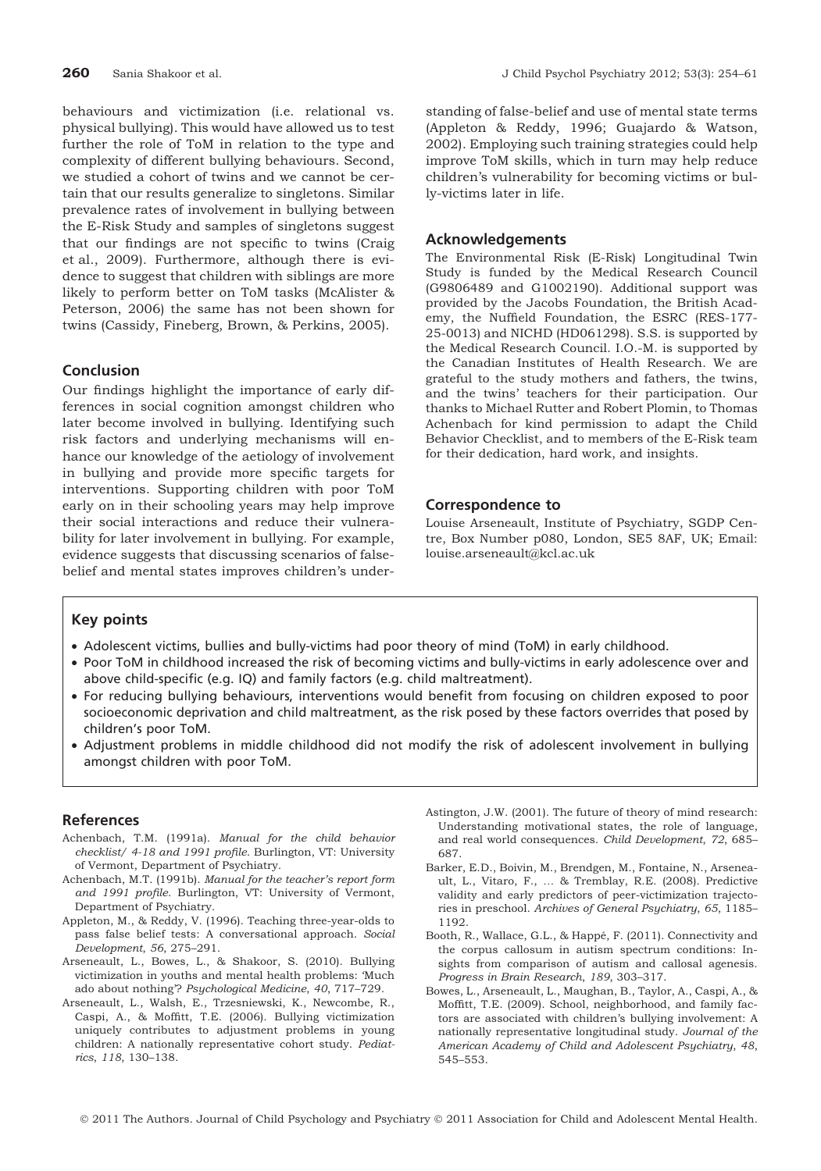behaviours and victimization (i.e. relational vs. physical bullying). This would have allowed us to test further the role of ToM in relation to the type and complexity of different bullying behaviours. Second, we studied a cohort of twins and we cannot be certain that our results generalize to singletons. Similar prevalence rates of involvement in bullying between the E-Risk Study and samples of singletons suggest that our findings are not specific to twins (Craig et al., 2009). Furthermore, although there is evidence to suggest that children with siblings are more likely to perform better on ToM tasks (McAlister & Peterson, 2006) the same has not been shown for twins (Cassidy, Fineberg, Brown, & Perkins, 2005).

## Conclusion

Our findings highlight the importance of early differences in social cognition amongst children who later become involved in bullying. Identifying such risk factors and underlying mechanisms will enhance our knowledge of the aetiology of involvement in bullying and provide more specific targets for interventions. Supporting children with poor ToM early on in their schooling years may help improve their social interactions and reduce their vulnerability for later involvement in bullying. For example, evidence suggests that discussing scenarios of falsebelief and mental states improves children's under-

standing of false-belief and use of mental state terms (Appleton & Reddy, 1996; Guajardo & Watson, 2002). Employing such training strategies could help improve ToM skills, which in turn may help reduce children's vulnerability for becoming victims or bully-victims later in life.

## Acknowledgements

The Environmental Risk (E-Risk) Longitudinal Twin Study is funded by the Medical Research Council (G9806489 and G1002190). Additional support was provided by the Jacobs Foundation, the British Academy, the Nuffield Foundation, the ESRC (RES-177- 25-0013) and NICHD (HD061298). S.S. is supported by the Medical Research Council. I.O.-M. is supported by the Canadian Institutes of Health Research. We are grateful to the study mothers and fathers, the twins, and the twins' teachers for their participation. Our thanks to Michael Rutter and Robert Plomin, to Thomas Achenbach for kind permission to adapt the Child Behavior Checklist, and to members of the E-Risk team for their dedication, hard work, and insights.

#### Correspondence to

Louise Arseneault, Institute of Psychiatry, SGDP Centre, Box Number p080, London, SE5 8AF, UK; Email: louise.arseneault@kcl.ac.uk

## Key points

- Adolescent victims, bullies and bully-victims had poor theory of mind (ToM) in early childhood.
- Poor ToM in childhood increased the risk of becoming victims and bully-victims in early adolescence over and above child-specific (e.g. IQ) and family factors (e.g. child maltreatment).
- For reducing bullying behaviours, interventions would benefit from focusing on children exposed to poor socioeconomic deprivation and child maltreatment, as the risk posed by these factors overrides that posed by children's poor ToM.
- Adjustment problems in middle childhood did not modify the risk of adolescent involvement in bullying amongst children with poor ToM.

#### References

- Achenbach, T.M. (1991a). Manual for the child behavior checklist/ 4-18 and 1991 profile. Burlington, VT: University of Vermont, Department of Psychiatry.
- Achenbach, M.T. (1991b). Manual for the teacher's report form and 1991 profile. Burlington, VT: University of Vermont, Department of Psychiatry.
- Appleton, M., & Reddy, V. (1996). Teaching three-year-olds to pass false belief tests: A conversational approach. Social Development, 56, 275–291.
- Arseneault, L., Bowes, L., & Shakoor, S. (2010). Bullying victimization in youths and mental health problems: 'Much ado about nothing'? Psychological Medicine, 40, 717–729.
- Arseneault, L., Walsh, E., Trzesniewski, K., Newcombe, R., Caspi, A., & Moffitt, T.E. (2006). Bullying victimization uniquely contributes to adjustment problems in young children: A nationally representative cohort study. Pediatrics, 118, 130–138.
- Astington, J.W. (2001). The future of theory of mind research: Understanding motivational states, the role of language, and real world consequences. Child Development, 72, 685– 687.
- Barker, E.D., Boivin, M., Brendgen, M., Fontaine, N., Arseneault, L., Vitaro, F., … & Tremblay, R.E. (2008). Predictive validity and early predictors of peer-victimization trajectories in preschool. Archives of General Psychiatry, 65, 1185– 1192.
- Booth, R., Wallace, G.L., & Happé, F. (2011). Connectivity and the corpus callosum in autism spectrum conditions: Insights from comparison of autism and callosal agenesis. Progress in Brain Research, 189, 303–317.
- Bowes, L., Arseneault, L., Maughan, B., Taylor, A., Caspi, A., & Moffitt, T.E. (2009). School, neighborhood, and family factors are associated with children's bullying involvement: A nationally representative longitudinal study. Journal of the American Academy of Child and Adolescent Psychiatry, 48, 545–553.